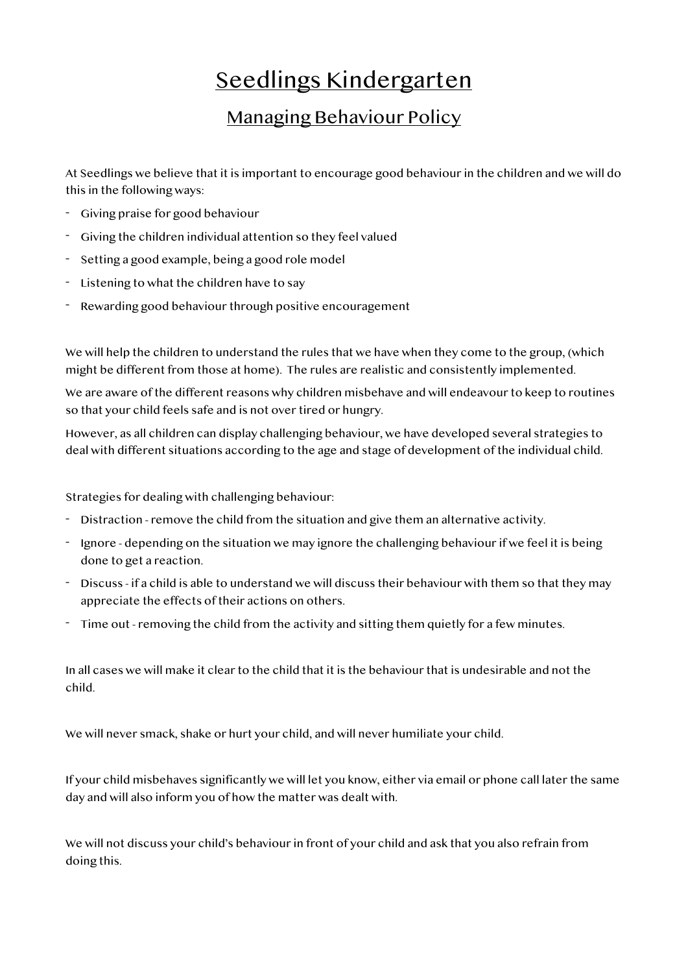## Seedlings Kindergarten

## Managing Behaviour Policy

At Seedlings we believe that it is important to encourage good behaviour in the children and we will do this in the following ways:

- Giving praise for good behaviour
- Giving the children individual attention so they feel valued
- Setting a good example, being a good role model
- Listening to what the children have to say
- Rewarding good behaviour through positive encouragement

We will help the children to understand the rules that we have when they come to the group, (which might be different from those at home). The rules are realistic and consistently implemented.

We are aware of the different reasons why children misbehave and will endeavour to keep to routines so that your child feels safe and is not over tired or hungry.

However, as all children can display challenging behaviour, we have developed several strategies to deal with different situations according to the age and stage of development of the individual child.

Strategies for dealing with challenging behaviour:

- Distraction remove the child from the situation and give them an alternative activity.
- Ignore depending on the situation we may ignore the challenging behaviour if we feel it is being done to get a reaction.
- Discuss if a child is able to understand we will discuss their behaviour with them so that they may appreciate the effects of their actions on others.
- Time out removing the child from the activity and sitting them quietly for a few minutes.

In all cases we will make it clear to the child that it is the behaviour that is undesirable and not the child.

We will never smack, shake or hurt your child, and will never humiliate your child.

If your child misbehaves significantly we will let you know, either via email or phone call later the same day and will also inform you of how the matter was dealt with.

We will not discuss your child's behaviour in front of your child and ask that you also refrain from doing this.